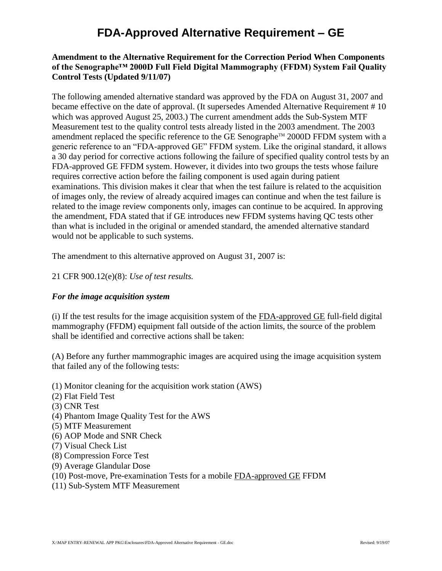## **FDA-Approved Alternative Requirement – GE**

### **Amendment to the Alternative Requirement for the Correction Period When Components of the Senographe™ 2000D Full Field Digital Mammography (FFDM) System Fail Quality Control Tests (Updated 9/11/07)**

The following amended alternative standard was approved by the FDA on August 31, 2007 and became effective on the date of approval. (It supersedes Amended Alternative Requirement # 10 which was approved August 25, 2003.) The current amendment adds the Sub-System MTF Measurement test to the quality control tests already listed in the 2003 amendment. The 2003 amendment replaced the specific reference to the GE Senographe<sup>™</sup> 2000D FFDM system with a generic reference to an "FDA-approved GE" FFDM system. Like the original standard, it allows a 30 day period for corrective actions following the failure of specified quality control tests by an FDA-approved GE FFDM system. However, it divides into two groups the tests whose failure requires corrective action before the failing component is used again during patient examinations. This division makes it clear that when the test failure is related to the acquisition of images only, the review of already acquired images can continue and when the test failure is related to the image review components only, images can continue to be acquired. In approving the amendment, FDA stated that if GE introduces new FFDM systems having QC tests other than what is included in the original or amended standard, the amended alternative standard would not be applicable to such systems.

The amendment to this alternative approved on August 31, 2007 is:

#### 21 CFR 900.12(e)(8): *Use of test results.*

#### *For the image acquisition system*

(i) If the test results for the image acquisition system of the FDA-approved GE full-field digital mammography (FFDM) equipment fall outside of the action limits, the source of the problem shall be identified and corrective actions shall be taken:

(A) Before any further mammographic images are acquired using the image acquisition system that failed any of the following tests:

(1) Monitor cleaning for the acquisition work station (AWS)

- (2) Flat Field Test
- (3) CNR Test
- (4) Phantom Image Quality Test for the AWS
- (5) MTF Measurement
- (6) AOP Mode and SNR Check
- (7) Visual Check List
- (8) Compression Force Test
- (9) Average Glandular Dose
- (10) Post-move, Pre-examination Tests for a mobile FDA-approved GE FFDM
- (11) Sub-System MTF Measurement